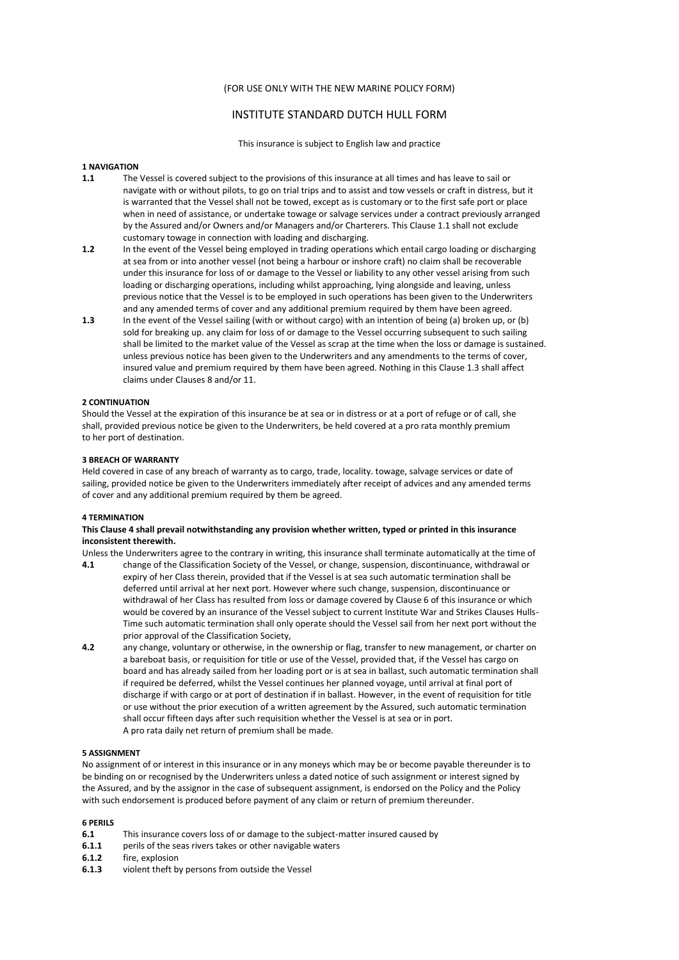#### (FOR USE ONLY WITH THE NEW MARINE POLICY FORM)

# INSTITUTE STANDARD DUTCH HULL FORM

This insurance is subject to English law and practice

### **1 NAVIGATION**

- **1.1** The Vessel is covered subject to the provisions of this insurance at all times and has leave to sail or navigate with or without pilots, to go on trial trips and to assist and tow vessels or craft in distress, but it is warranted that the Vessel shall not be towed, except as is customary or to the first safe port or place when in need of assistance, or undertake towage or salvage services under a contract previously arranged by the Assured and/or Owners and/or Managers and/or Charterers. This Clause 1.1 shall not exclude customary towage in connection with loading and discharging.
- **1.2** In the event of the Vessel being employed in trading operations which entail cargo loading or discharging at sea from or into another vessel (not being a harbour or inshore craft) no claim shall be recoverable under this insurance for loss of or damage to the Vessel or liability to any other vessel arising from such loading or discharging operations, including whilst approaching, lying alongside and leaving, unless previous notice that the Vessel is to be employed in such operations has been given to the Underwriters and any amended terms of cover and any additional premium required by them have been agreed.
- **1.3** In the event of the Vessel sailing (with or without cargo) with an intention of being (a) broken up, or (b) sold for breaking up. any claim for loss of or damage to the Vessel occurring subsequent to such sailing shall be limited to the market value of the Vessel as scrap at the time when the loss or damage is sustained. unless previous notice has been given to the Underwriters and any amendments to the terms of cover, insured value and premium required by them have been agreed. Nothing in this Clause 1.3 shall affect claims under Clauses 8 and/or 11.

#### **2 CONTINUATION**

Should the Vessel at the expiration of this insurance be at sea or in distress or at a port of refuge or of call, she shall, provided previous notice be given to the Underwriters, be held covered at a pro rata monthly premium to her port of destination.

#### **3 BREACH OF WARRANTY**

Held covered in case of any breach of warranty as to cargo, trade, locality. towage, salvage services or date of sailing, provided notice be given to the Underwriters immediately after receipt of advices and any amended terms of cover and any additional premium required by them be agreed.

#### **4 TERMINATION**

### **This Clause 4 shall prevail notwithstanding any provision whether written, typed or printed in this insurance inconsistent therewith.**

Unless the Underwriters agree to the contrary in writing, this insurance shall terminate automatically at the time of **4.1** change of the Classification Society of the Vessel, or change, suspension, discontinuance, withdrawal or

- expiry of her Class therein, provided that if the Vessel is at sea such automatic termination shall be deferred until arrival at her next port. However where such change, suspension, discontinuance or withdrawal of her Class has resulted from loss or damage covered by Clause 6 of this insurance or which would be covered by an insurance of the Vessel subject to current Institute War and Strikes Clauses Hulls-Time such automatic termination shall only operate should the Vessel sail from her next port without the prior approval of the Classification Society,
- **4.2** any change, voluntary or otherwise, in the ownership or flag, transfer to new management, or charter on a bareboat basis, or requisition for title or use of the Vessel, provided that, if the Vessel has cargo on board and has already sailed from her loading port or is at sea in ballast, such automatic termination shall if required be deferred, whilst the Vessel continues her planned voyage, until arrival at final port of discharge if with cargo or at port of destination if in ballast. However, in the event of requisition for title or use without the prior execution of a written agreement by the Assured, such automatic termination shall occur fifteen days after such requisition whether the Vessel is at sea or in port. A pro rata daily net return of premium shall be made.

### **5 ASSIGNMENT**

No assignment of or interest in this insurance or in any moneys which may be or become payable thereunder is to be binding on or recognised by the Underwriters unless a dated notice of such assignment or interest signed by the Assured, and by the assignor in the case of subsequent assignment, is endorsed on the Policy and the Policy with such endorsement is produced before payment of any claim or return of premium thereunder.

# **6 PERILS**

- **6.1** This insurance covers loss of or damage to the subject-matter insured caused by **6.1.1** nerils of the seas rivers takes or other navigable waters
- **6.1.1** perils of the seas rivers takes or other navigable waters **6.1.2** fire. explosion
- **6.1.2** fire, explosion
- **6.1.3** violent theft by persons from outside the Vessel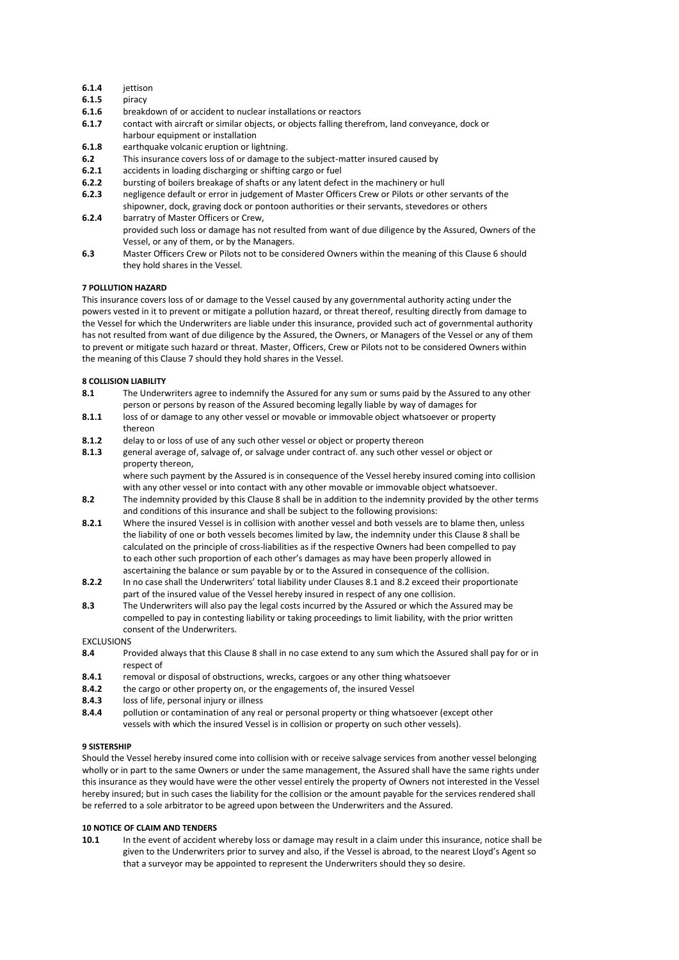# **6.1.4** jettison

- **6.1.5** piracy
- **6.1.6** breakdown of or accident to nuclear installations or reactors
- **6.1.7** contact with aircraft or similar objects, or objects falling therefrom, land conveyance, dock or harbour equipment or installation
- **6.1.8** earthquake volcanic eruption or lightning.
- **6.2** This insurance covers loss of or damage to the subject-matter insured caused by
- **6.2.1** accidents in loading discharging or shifting cargo or fuel
- **6.2.2** bursting of boilers breakage of shafts or any latent defect in the machinery or hull
- **6.2.3** negligence default or error in judgement of Master Officers Crew or Pilots or other servants of the
- shipowner, dock, graving dock or pontoon authorities or their servants, stevedores or others **6.2.4** barratry of Master Officers or Crew,
- provided such loss or damage has not resulted from want of due diligence by the Assured, Owners of the Vessel, or any of them, or by the Managers.
- **6.3** Master Officers Crew or Pilots not to be considered Owners within the meaning of this Clause 6 should they hold shares in the Vessel.

# **7 POLLUTION HAZARD**

This insurance covers loss of or damage to the Vessel caused by any governmental authority acting under the powers vested in it to prevent or mitigate a pollution hazard, or threat thereof, resulting directly from damage to the Vessel for which the Underwriters are liable under this insurance, provided such act of governmental authority has not resulted from want of due diligence by the Assured, the Owners, or Managers of the Vessel or any of them to prevent or mitigate such hazard or threat. Master, Officers, Crew or Pilots not to be considered Owners within the meaning of this Clause 7 should they hold shares in the Vessel.

# **8 COLLISION LIABILITY**

- **8.1** The Underwriters agree to indemnify the Assured for any sum or sums paid by the Assured to any other person or persons by reason of the Assured becoming legally liable by way of damages for
- 8.1.1 loss of or damage to any other vessel or movable or immovable object whatsoever or property thereon
- **8.1.2** delay to or loss of use of any such other vessel or object or property thereon
- **8.1.3** general average of, salvage of, or salvage under contract of. any such other vessel or object or property thereon,
- where such payment by the Assured is in consequence of the Vessel hereby insured coming into collision with any other vessel or into contact with any other movable or immovable object whatsoever.
- **8.2** The indemnity provided by this Clause 8 shall be in addition to the indemnity provided by the other terms and conditions of this insurance and shall be subject to the following provisions:
- **8.2.1** Where the insured Vessel is in collision with another vessel and both vessels are to blame then, unless the liability of one or both vessels becomes limited by law, the indemnity under this Clause 8 shall be calculated on the principle of cross-liabilities as if the respective Owners had been compelled to pay to each other such proportion of each other's damages as may have been properly allowed in ascertaining the balance or sum payable by or to the Assured in consequence of the collision.
- **8.2.2** In no case shall the Underwriters' total liability under Clauses 8.1 and 8.2 exceed their proportionate part of the insured value of the Vessel hereby insured in respect of any one collision.
- **8.3** The Underwriters will also pay the legal costs incurred by the Assured or which the Assured may be compelled to pay in contesting liability or taking proceedings to limit liability, with the prior written consent of the Underwriters.

# **EXCLUSIONS**

- **8.4** Provided always that this Clause 8 shall in no case extend to any sum which the Assured shall pay for or in respect of
- **8.4.1** removal or disposal of obstructions, wrecks, cargoes or any other thing whatsoever
- **8.4.2** the cargo or other property on, or the engagements of, the insured Vessel
- **8.4.3** loss of life, personal injury or illness
- **8.4.4** pollution or contamination of any real or personal property or thing whatsoever (except other vessels with which the insured Vessel is in collision or property on such other vessels).

# **9 SISTERSHIP**

Should the Vessel hereby insured come into collision with or receive salvage services from another vessel belonging wholly or in part to the same Owners or under the same management, the Assured shall have the same rights under this insurance as they would have were the other vessel entirely the property of Owners not interested in the Vessel hereby insured; but in such cases the liability for the collision or the amount payable for the services rendered shall be referred to a sole arbitrator to be agreed upon between the Underwriters and the Assured.

# **10 NOTICE OF CLAIM AND TENDERS**

**10.1** In the event of accident whereby loss or damage may result in a claim under this insurance, notice shall be given to the Underwriters prior to survey and also, if the Vessel is abroad, to the nearest Lloyd's Agent so that a surveyor may be appointed to represent the Underwriters should they so desire.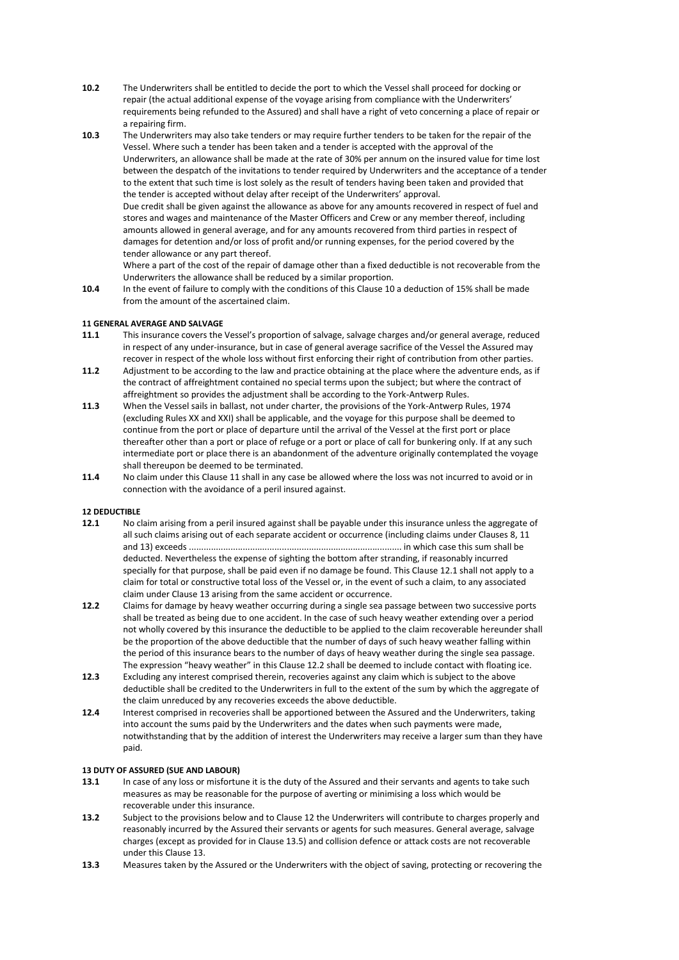- **10.2** The Underwriters shall be entitled to decide the port to which the Vessel shall proceed for docking or repair (the actual additional expense of the voyage arising from compliance with the Underwriters' requirements being refunded to the Assured) and shall have a right of veto concerning a place of repair or a repairing firm.
- **10.3** The Underwriters may also take tenders or may require further tenders to be taken for the repair of the Vessel. Where such a tender has been taken and a tender is accepted with the approval of the Underwriters, an allowance shall be made at the rate of 30% per annum on the insured value for time lost between the despatch of the invitations to tender required by Underwriters and the acceptance of a tender to the extent that such time is lost solely as the result of tenders having been taken and provided that the tender is accepted without delay after receipt of the Underwriters' approval. Due credit shall be given against the allowance as above for any amounts recovered in respect of fuel and stores and wages and maintenance of the Master Officers and Crew or any member thereof, including amounts allowed in general average, and for any amounts recovered from third parties in respect of damages for detention and/or loss of profit and/or running expenses, for the period covered by the tender allowance or any part thereof.

Where a part of the cost of the repair of damage other than a fixed deductible is not recoverable from the Underwriters the allowance shall be reduced by a similar proportion.

**10.4** In the event of failure to comply with the conditions of this Clause 10 a deduction of 15% shall be made from the amount of the ascertained claim.

# **11 GENERAL AVERAGE AND SALVAGE**

- **11.1** This insurance covers the Vessel's proportion of salvage, salvage charges and/or general average, reduced in respect of any under-insurance, but in case of general average sacrifice of the Vessel the Assured may recover in respect of the whole loss without first enforcing their right of contribution from other parties.
- **11.2** Adjustment to be according to the law and practice obtaining at the place where the adventure ends, as if the contract of affreightment contained no special terms upon the subject; but where the contract of affreightment so provides the adjustment shall be according to the York-Antwerp Rules.
- **11.3** When the Vessel sails in ballast, not under charter, the provisions of the York-Antwerp Rules, 1974 (excluding Rules XX and XXI) shall be applicable, and the voyage for this purpose shall be deemed to continue from the port or place of departure until the arrival of the Vessel at the first port or place thereafter other than a port or place of refuge or a port or place of call for bunkering only. If at any such intermediate port or place there is an abandonment of the adventure originally contemplated the voyage shall thereupon be deemed to be terminated.
- **11.4** No claim under this Clause 11 shall in any case be allowed where the loss was not incurred to avoid or in connection with the avoidance of a peril insured against.

### **12 DEDUCTIBLE**

- **12.1** No claim arising from a peril insured against shall be payable under this insurance unless the aggregate of all such claims arising out of each separate accident or occurrence (including claims under Clauses 8, 11 and 13) exceeds ....................................................................................... in which case this sum shall be deducted. Nevertheless the expense of sighting the bottom after stranding, if reasonably incurred specially for that purpose, shall be paid even if no damage be found. This Clause 12.1 shall not apply to a claim for total or constructive total loss of the Vessel or, in the event of such a claim, to any associated claim under Clause 13 arising from the same accident or occurrence.
- **12.2** Claims for damage by heavy weather occurring during a single sea passage between two successive ports shall be treated as being due to one accident. In the case of such heavy weather extending over a period not wholly covered by this insurance the deductible to be applied to the claim recoverable hereunder shall be the proportion of the above deductible that the number of days of such heavy weather falling within the period of this insurance bears to the number of days of heavy weather during the single sea passage. The expression "heavy weather" in this Clause 12.2 shall be deemed to include contact with floating ice.
- **12.3** Excluding any interest comprised therein, recoveries against any claim which is subject to the above deductible shall be credited to the Underwriters in full to the extent of the sum by which the aggregate of the claim unreduced by any recoveries exceeds the above deductible.
- **12.4** Interest comprised in recoveries shall be apportioned between the Assured and the Underwriters, taking into account the sums paid by the Underwriters and the dates when such payments were made, notwithstanding that by the addition of interest the Underwriters may receive a larger sum than they have paid.

### **13 DUTY OF ASSURED (SUE AND LABOUR)**

- **13.1** In case of any loss or misfortune it is the duty of the Assured and their servants and agents to take such measures as may be reasonable for the purpose of averting or minimising a loss which would be recoverable under this insurance.
- **13.2** Subject to the provisions below and to Clause 12 the Underwriters will contribute to charges properly and reasonably incurred by the Assured their servants or agents for such measures. General average, salvage charges (except as provided for in Clause 13.5) and collision defence or attack costs are not recoverable under this Clause 13.
- **13.3** Measures taken by the Assured or the Underwriters with the object of saving, protecting or recovering the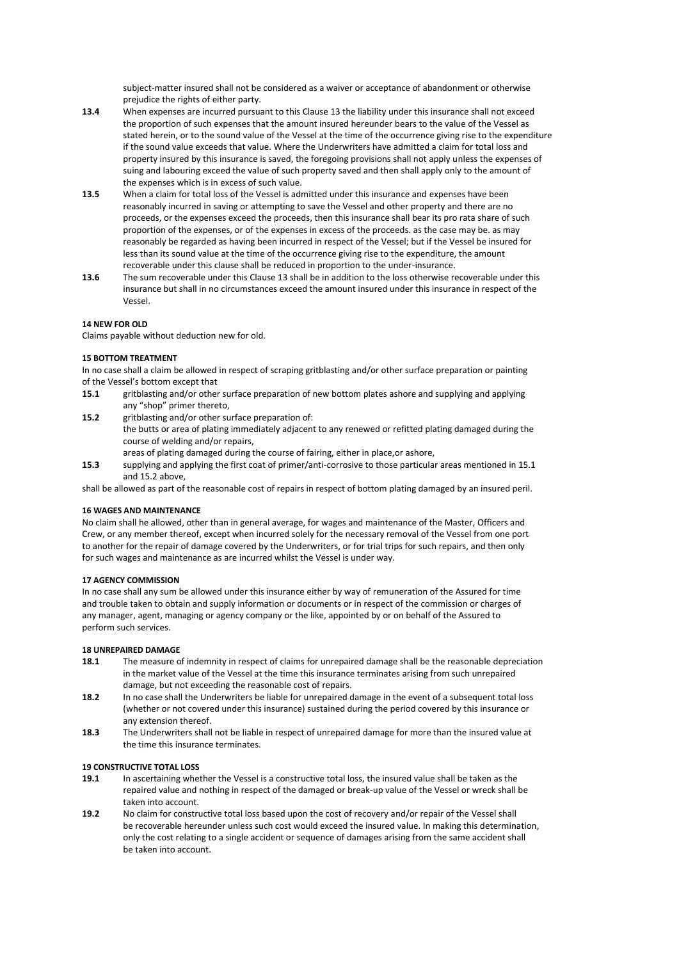subject-matter insured shall not be considered as a waiver or acceptance of abandonment or otherwise prejudice the rights of either party.

- **13.4** When expenses are incurred pursuant to this Clause 13 the liability under this insurance shall not exceed the proportion of such expenses that the amount insured hereunder bears to the value of the Vessel as stated herein, or to the sound value of the Vessel at the time of the occurrence giving rise to the expenditure if the sound value exceeds that value. Where the Underwriters have admitted a claim for total loss and property insured by this insurance is saved, the foregoing provisions shall not apply unless the expenses of suing and labouring exceed the value of such property saved and then shall apply only to the amount of the expenses which is in excess of such value.
- **13.5** When a claim for total loss of the Vessel is admitted under this insurance and expenses have been reasonably incurred in saving or attempting to save the Vessel and other property and there are no proceeds, or the expenses exceed the proceeds, then this insurance shall bear its pro rata share of such proportion of the expenses, or of the expenses in excess of the proceeds. as the case may be. as may reasonably be regarded as having been incurred in respect of the Vessel; but if the Vessel be insured for less than its sound value at the time of the occurrence giving rise to the expenditure, the amount recoverable under this clause shall be reduced in proportion to the under-insurance.
- **13.6** The sum recoverable under this Clause 13 shall be in addition to the loss otherwise recoverable under this insurance but shall in no circumstances exceed the amount insured under this insurance in respect of the Vessel.

### **14 NEW FOR OLD**

Claims payable without deduction new for old.

### **15 BOTTOM TREATMENT**

In no case shall a claim be allowed in respect of scraping gritblasting and/or other surface preparation or painting of the Vessel's bottom except that

- **15.1** gritblasting and/or other surface preparation of new bottom plates ashore and supplying and applying any "shop" primer thereto,
- **15.2** gritblasting and/or other surface preparation of: the butts or area of plating immediately adjacent to any renewed or refitted plating damaged during the course of welding and/or repairs, areas of plating damaged during the course of fairing, either in place,or ashore,
- **15.3** supplying and applying the first coat of primer/anti-corrosive to those particular areas mentioned in 15.1 and 15.2 above,

shall be allowed as part of the reasonable cost of repairs in respect of bottom plating damaged by an insured peril.

### **16 WAGES AND MAINTENANCE**

No claim shall he allowed, other than in general average, for wages and maintenance of the Master, Officers and Crew, or any member thereof, except when incurred solely for the necessary removal of the Vessel from one port to another for the repair of damage covered by the Underwriters, or for trial trips for such repairs, and then only for such wages and maintenance as are incurred whilst the Vessel is under way.

### **17 AGENCY COMMISSION**

In no case shall any sum be allowed under this insurance either by way of remuneration of the Assured for time and trouble taken to obtain and supply information or documents or in respect of the commission or charges of any manager, agent, managing or agency company or the like, appointed by or on behalf of the Assured to perform such services.

#### **18 UNREPAIRED DAMAGE**

- **18.1** The measure of indemnity in respect of claims for unrepaired damage shall be the reasonable depreciation in the market value of the Vessel at the time this insurance terminates arising from such unrepaired damage, but not exceeding the reasonable cost of repairs.
- **18.2** In no case shall the Underwriters be liable for unrepaired damage in the event of a subsequent total loss (whether or not covered under this insurance) sustained during the period covered by this insurance or any extension thereof.
- **18.3** The Underwriters shall not be liable in respect of unrepaired damage for more than the insured value at the time this insurance terminates.

### **19 CONSTRUCTIVE TOTAL LOSS**

- **19.1** In ascertaining whether the Vessel is a constructive total loss, the insured value shall be taken as the repaired value and nothing in respect of the damaged or break-up value of the Vessel or wreck shall be taken into account.
- **19.2** No claim for constructive total loss based upon the cost of recovery and/or repair of the Vessel shall be recoverable hereunder unless such cost would exceed the insured value. In making this determination, only the cost relating to a single accident or sequence of damages arising from the same accident shall be taken into account.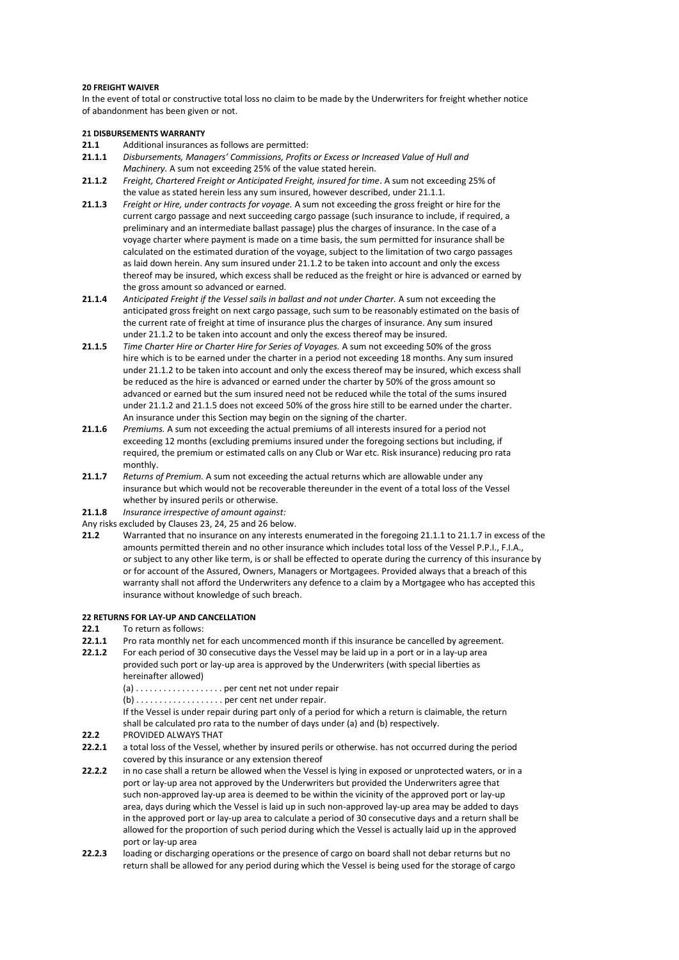# **20 FREIGHT WAIVER**

In the event of total or constructive total loss no claim to be made by the Underwriters for freight whether notice of abandonment has been given or not.

### **21 DISBURSEMENTS WARRANTY**

- **21.1** Additional insurances as follows are permitted:
- **21.1.1** *Disbursements, Managers' Commissions, Profits or Excess or Increased Value of Hull and Machinery.* A sum not exceeding 25% of the value stated herein.
- **21.1.2** *Freight, Chartered Freight or Anticipated Freight, insured for time*. A sum not exceeding 25% of the value as stated herein less any sum insured, however described, under 21.1.1.
- **21.1.3** *Freight or Hire, under contracts for voyage.* A sum not exceeding the gross freight or hire for the current cargo passage and next succeeding cargo passage (such insurance to include, if required, a preliminary and an intermediate ballast passage) plus the charges of insurance. In the case of a voyage charter where payment is made on a time basis, the sum permitted for insurance shall be calculated on the estimated duration of the voyage, subject to the limitation of two cargo passages as laid down herein. Any sum insured under 21.1.2 to be taken into account and only the excess thereof may be insured, which excess shall be reduced as the freight or hire is advanced or earned by the gross amount so advanced or earned.
- **21.1.4** *Anticipated Freight if the Vessel sails in ballast and not under Charter.* A sum not exceeding the anticipated gross freight on next cargo passage, such sum to be reasonably estimated on the basis of the current rate of freight at time of insurance plus the charges of insurance. Any sum insured under 21.1.2 to be taken into account and only the excess thereof may be insured.
- **21.1.5** *Time Charter Hire or Charter Hire for Series of Voyages.* A sum not exceeding 50% of the gross hire which is to be earned under the charter in a period not exceeding 18 months. Any sum insured under 21.1.2 to be taken into account and only the excess thereof may be insured, which excess shall be reduced as the hire is advanced or earned under the charter by 50% of the gross amount so advanced or earned but the sum insured need not be reduced while the total of the sums insured under 21.1.2 and 21.1.5 does not exceed 50% of the gross hire still to be earned under the charter. An insurance under this Section may begin on the signing of the charter.
- **21.1.6** *Premiums.* A sum not exceeding the actual premiums of all interests insured for a period not exceeding 12 months (excluding premiums insured under the foregoing sections but including, if required, the premium or estimated calls on any Club or War etc. Risk insurance) reducing pro rata monthly.
- **21.1.7** *Returns of Premium.* A sum not exceeding the actual returns which are allowable under any insurance but which would not be recoverable thereunder in the event of a total loss of the Vessel whether by insured perils or otherwise.
- **21.1.8** *Insurance irrespective of amount against:*
- Any risks excluded by Clauses 23, 24, 25 and 26 below.<br>21.2 Warranted that no insurance on any interest
- **21.2** Warranted that no insurance on any interests enumerated in the foregoing 21.1.1 to 21.1.7 in excess of the amounts permitted therein and no other insurance which includes total loss of the Vessel P.P.I., F.I.A., or subject to any other like term, is or shall be effected to operate during the currency of this insurance by or for account of the Assured, Owners, Managers or Mortgagees. Provided always that a breach of this warranty shall not afford the Underwriters any defence to a claim by a Mortgagee who has accepted this insurance without knowledge of such breach.

# **22 RETURNS FOR LAY-UP AND CANCELLATION**

- **22.1** To return as follows:<br>**22.1.1** Pro rata monthly net
- **22.1.1** Pro rata monthly net for each uncommenced month if this insurance be cancelled by agreement.
- **22.1.2** For each period of 30 consecutive days the Vessel may be laid up in a port or in a lay-up area provided such port or lay-up area is approved by the Underwriters (with special liberties as hereinafter allowed)

(a) . . . . . . . . . . . . . . . . . . . per cent net not under repair

(b) . . . . . . . . . . . . . . . . . . . per cent net under repair.

If the Vessel is under repair during part only of a period for which a return is claimable, the return shall be calculated pro rata to the number of days under (a) and (b) respectively.

- **22.2** PROVIDED ALWAYS THAT
- **22.2.1** a total loss of the Vessel, whether by insured perils or otherwise. has not occurred during the period covered by this insurance or any extension thereof
- **22.2.2** in no case shall a return be allowed when the Vessel is lying in exposed or unprotected waters, or in a port or lay-up area not approved by the Underwriters but provided the Underwriters agree that such non-approved lay-up area is deemed to be within the vicinity of the approved port or lay-up area, days during which the Vessel is laid up in such non-approved lay-up area may be added to days in the approved port or lay-up area to calculate a period of 30 consecutive days and a return shall be allowed for the proportion of such period during which the Vessel is actually laid up in the approved port or lay-up area
- **22.2.3** loading or discharging operations or the presence of cargo on board shall not debar returns but no return shall be allowed for any period during which the Vessel is being used for the storage of cargo